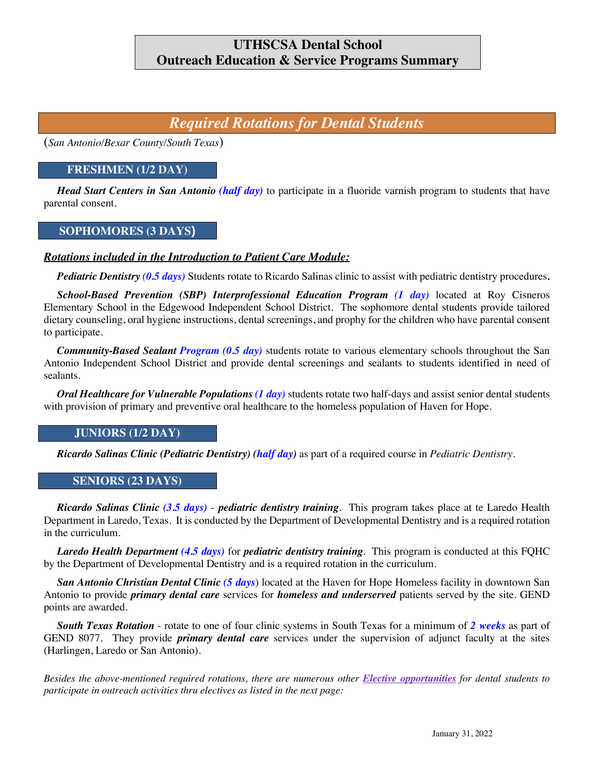## **UTHSCSA Dental School Outreach Education & Service Programs Summary**

# *Required Rotations for Dental Students*

(*San Antonio/Bexar County/South Texas*)

### **FRESHMEN (1/2 DAY)**

*Head Start Centers in San Antonio (half day)* to participate in a fluoride varnish program to students that have parental consent.

### **SOPHOMORES (3 DAYS)**

#### *Rotations included in the Introduction to Patient Care Module:*

*Pediatric Dentistry (0.5 days)* Students rotate to Ricardo Salinas clinic to assist with pediatric dentistry procedures*.*

*School-Based Prevention (SBP) Interprofessional Education Program (1 day)* located at Roy Cisneros Elementary School in the Edgewood Independent School District. The sophomore dental students provide tailored dietary counseling, oral hygiene instructions, dental screenings, and prophy for the children who have parental consent to participate.

*Community-Based Sealant Program (0.5 day)* students rotate to various elementary schools throughout the San Antonio Independent School District and provide dental screenings and sealants to students identified in need of sealants.

*Oral Healthcare for Vulnerable Populations (1 day)* students rotate two half-days and assist senior dental students with provision of primary and preventive oral healthcare to the homeless population of Haven for Hope.

#### **JUNIORS (1/2 DAY)**

*Ricardo Salinas Clinic (Pediatric Dentistry) (half day)* as part of a required course in *Pediatric Dentistry.*

#### **SENIORS (23 DAYS)**

*Ricardo Salinas Clinic (3.5 days)* - *pediatric dentistry training*. This program takes place at te Laredo Health Department in Laredo, Texas. It is conducted by the Department of Developmental Dentistry and is a required rotation in the curriculum.

*Laredo Health Department (4.5 days)* for *pediatric dentistry training*. This program is conducted at this FQHC by the Department of Developmental Dentistry and is a required rotation in the curriculum.

*San Antonio Christian Dental Clinic (5 days*) located at the Haven for Hope Homeless facility in downtown San Antonio to provide *primary dental care* services for *homeless and underserved* patients served by the site. GEND points are awarded.

*South Texas Rotation* - rotate to one of four clinic systems in South Texas for a minimum of *2 weeks* as part of GEND 8077. They provide *primary dental care* services under the supervision of adjunct faculty at the sites (Harlingen, Laredo or San Antonio).

*Besides the above-mentioned required rotations, there are numerous other Elective opportunities for dental students to participate in outreach activities thru electives as listed in the next page:*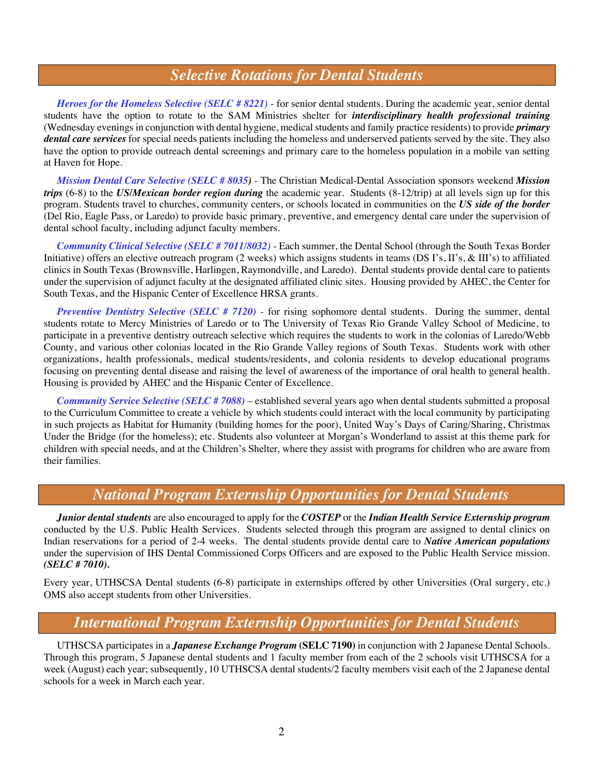# *Selective Rotations for Dental Students*

*Heroes for the Homeless Selective (SELC # 8221)* - for senior dental students. During the academic year, senior dental students have the option to rotate to the SAM Ministries shelter for *interdisciplinary health professional training* (Wednesday evenings in conjunction with dental hygiene, medical students and family practice residents) to provide *primary dental care services* for special needs patients including the homeless and underserved patients served by the site. They also have the option to provide outreach dental screenings and primary care to the homeless population in a mobile van setting at Haven for Hope.

*Mission Dental Care Selective (SELC # 8035)* - The Christian Medical-Dental Association sponsors weekend *Mission trips* (6-8) to the *US/Mexican border region during* the academic year. Students (8-12/trip) at all levels sign up for this program. Students travel to churches, community centers, or schools located in communities on the *US side of the border* (Del Rio, Eagle Pass, or Laredo) to provide basic primary, preventive, and emergency dental care under the supervision of dental school faculty, including adjunct faculty members.

*Community Clinical Selective (SELC # 7011/8032)* - Each summer, the Dental School (through the South Texas Border Initiative) offers an elective outreach program (2 weeks) which assigns students in teams (DS I's, II's, & III's) to affiliated clinics in South Texas (Brownsville, Harlingen, Raymondville, and Laredo). Dental students provide dental care to patients under the supervision of adjunct faculty at the designated affiliated clinic sites. Housing provided by AHEC, the Center for South Texas, and the Hispanic Center of Excellence HRSA grants.

*Preventive Dentistry Selective (SELC # 7120)* - for rising sophomore dental students. During the summer, dental students rotate to Mercy Ministries of Laredo or to The University of Texas Rio Grande Valley School of Medicine, to participate in a preventive dentistry outreach selective which requires the students to work in the colonias of Laredo/Webb County, and various other colonias located in the Rio Grande Valley regions of South Texas. Students work with other organizations, health professionals, medical students/residents, and colonia residents to develop educational programs focusing on preventing dental disease and raising the level of awareness of the importance of oral health to general health. Housing is provided by AHEC and the Hispanic Center of Excellence.

*Community Service Selective (SELC # 7088)* – established several years ago when dental students submitted a proposal to the Curriculum Committee to create a vehicle by which students could interact with the local community by participating in such projects as Habitat for Humanity (building homes for the poor), United Way's Days of Caring/Sharing, Christmas Under the Bridge (for the homeless); etc. Students also volunteer at Morgan's Wonderland to assist at this theme park for children with special needs, and at the Children's Shelter, where they assist with programs for children who are aware from their families.

# *National Program Externship Opportunities for Dental Students*

*Junior dental students* are also encouraged to apply for the *COSTEP* or the *Indian Health Service Externship program* conducted by the U.S. Public Health Services. Students selected through this program are assigned to dental clinics on Indian reservations for a period of 2-4 weeks. The dental students provide dental care to *Native American populations* under the supervision of IHS Dental Commissioned Corps Officers and are exposed to the Public Health Service mission. *(SELC # 7010).*

Every year, UTHSCSA Dental students (6-8) participate in externships offered by other Universities (Oral surgery, etc.) OMS also accept students from other Universities.

# *International Program Externship Opportunities for Dental Students*

UTHSCSA participates in a *Japanese Exchange Program* **(SELC 7190)** in conjunction with 2 Japanese Dental Schools. Through this program, 5 Japanese dental students and 1 faculty member from each of the 2 schools visit UTHSCSA for a week (August) each year; subsequently, 10 UTHSCSA dental students/2 faculty members visit each of the 2 Japanese dental schools for a week in March each year.